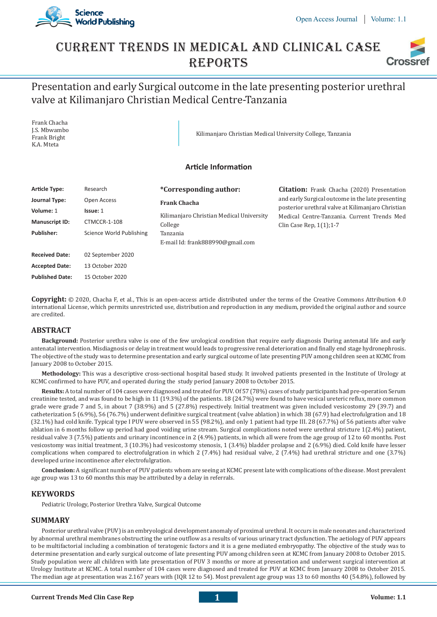

## Current Trends In Medical And Clinical Case **REPORTS Crossi**

# Presentation and early Surgical outcome in the late presenting posterior urethral valve at Kilimanjaro Christian Medical Centre-Tanzania

Frank Chacha J.S. Mbwambo Frank Bright K.A. Mteta

Kilimanjaro Christian Medical University College, Tanzania

## **Article Information**

| <b>Article Type:</b>  | Research                 | <i>*Corresponding author:</i>                | <b>Citation:</b> Frank Chacha (2020) Presentation                                                |
|-----------------------|--------------------------|----------------------------------------------|--------------------------------------------------------------------------------------------------|
| Journal Type:         | Open Access              | <b>Frank Chacha</b>                          | and early Surgical outcome in the late presenting                                                |
| Volume: 1             | Issue: 1                 | Kilimanjaro Christian Medical University     | posterior urethral valve at Kilimanjaro Christian<br>Medical Centre-Tanzania. Current Trends Med |
| <b>Manuscript ID:</b> | CTMCCR-1-108             | College                                      | Clin Case Rep, $1(1)$ ; 1-7                                                                      |
| Publisher:            | Science World Publishing | Tanzania<br>E-mail Id: frank888990@gmail.com |                                                                                                  |
| <b>Received Date:</b> | 02 September 2020        |                                              |                                                                                                  |
| <b>Accepted Date:</b> | 13 October 2020          |                                              |                                                                                                  |

**Copyright:** © 2020, Chacha F, et al., This is an open-access article distributed under the terms of the Creative Commons Attribution 4.0 international License, which permits unrestricted use, distribution and reproduction in any medium, provided the original author and source are credited.

## **ABSTRACT**

**Published Date:** 15 October 2020

**Background:** Posterior urethra valve is one of the few urological condition that require early diagnosis During antenatal life and early antenatal intervention. Misdiagnosis or delay in treatment would leads to progressive renal deterioration and finally end stage hydronephrosis. The objective of the study was to determine presentation and early surgical outcome of late presenting PUV among children seen at KCMC from January 2008 to October 2015.

**Methodology:** This was a descriptive cross-sectional hospital based study. It involved patients presented in the Institute of Urology at KCMC confirmed to have PUV, and operated during the study period January 2008 to October 2015.

**Results:** A total number of 104 cases were diagnosed and treated for PUV. Of 57 (78%) cases of study participants had pre-operation Serum creatinine tested, and was found to be high in 11 (19.3%) of the patients. 18 (24.7%) were found to have vesical ureteric reflux, more common grade were grade 7 and 5, in about 7 (38.9%) and 5 (27.8%) respectively. Initial treatment was given included vesicostomy 29 (39.7) and catheterization 5 (6.9%), 56 (76.7%) underwent definitive surgical treatment (valve ablation) in which 38 (67.9) had electrofulgration and 18 (32.1%) had cold knife. Typical type I PUV were observed in 55 (98.2%), and only 1 patient had type III. 28 (67.7%) of 56 patients after valve ablation in 6 months follow up period had good voiding urine stream. Surgical complications noted were urethral stricture 1(2.4%) patient, residual valve 3 (7.5%) patients and urinary incontinence in 2 (4.9%) patients, in which all were from the age group of 12 to 60 months. Post vesicostomy was initial treatment, 3 (10.3%) had vesicostomy stenosis, 1 (3.4%) bladder prolapse and 2 (6.9%) died. Cold knife have lesser complications when compared to electrofulgration in which 2 (7.4%) had residual valve, 2 (7.4%) had urethral stricture and one (3.7%) developed urine incontinence after electrofulgration.

**Conclusion:** A significant number of PUV patients whom are seeing at KCMC present late with complications of the disease. Most prevalent age group was 13 to 60 months this may be attributed by a delay in referrals.

## **KEYWORDS**

Pediatric Urology, Posterior Urethra Valve, Surgical Outcome

## **SUMMARY**

Posterior urethral valve (PUV) is an embryological development anomaly of proximal urethral. It occurs in male neonates and characterized by abnormal urethral membranes obstructing the urine outflow as a results of various urinary tract dysfunction. The aetiology of PUV appears to be multifactorial including a combination of teratogenic factors and it is a gene mediated embryopathy. The objective of the study was to determine presentation and early surgical outcome of late presenting PUV among children seen at KCMC from January 2008 to October 2015. Study population were all children with late presentation of PUV 3 months or more at presentation and underwent surgical intervention at Urology Institute at KCMC. A total number of 104 cases were diagnosed and treated for PUV at KCMC from January 2008 to October 2015. The median age at presentation was 2.167 years with (IQR 12 to 54). Most prevalent age group was 13 to 60 months 40 (54.8%), followed by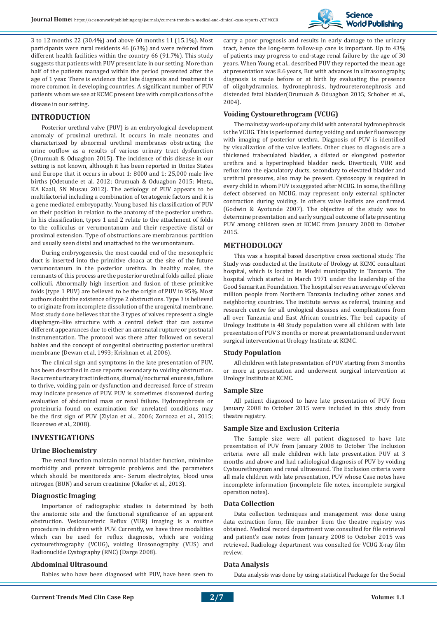

3 to 12 months 22 (30.4%) and above 60 months 11 (15.1%). Most participants were rural residents 46 (63%) and were referred from different health facilities within the country 66 (91.7%). This study suggests that patients with PUV present late in our setting. More than half of the patients managed within the period presented after the age of 1 year. There is evidence that late diagnosis and treatment is more common in developing countries. A significant number of PUV patients whom we see at KCMC present late with complications of the disease in our setting.

## **INTRODUCTION**

Posterior urethral valve (PUV) is an embryological development anomaly of proximal urethral. It occurs in male neonates and characterized by abnormal urethral membranes obstructing the urine outflow as a results of various urinary tract dysfunction (Orumuah & Oduagbon 2015). The incidence of this disease in our setting is not known, although it has been reported in Unites States and Europe that it occurs in about 1: 8000 and 1: 25,000 male live births (Odetunde et al. 2012; Orumuah & Oduagbon 2015; Mteta, KA Kaali, SN Musau 2012). The aetiology of PUV appears to be multifactorial including a combination of teratogenic factors and it is a gene mediated embryopathy. Young based his classification of PUV on their position in relation to the anatomy of the posterior urethra. In his classification, types 1 and 2 relate to the attachment of folds to the colliculus or verumontanum and their respective distal or proximal extension. Type of obstructions are membranous partition and usually seen distal and unattached to the verumontanum.

During embryogenesis, the most caudal end of the mesonephric duct is inserted into the primitive cloaca at the site of the future verumontanum in the posterior urethra. In healthy males, the remnants of this process are the posterior urethral folds called plicae colliculi. Abnormally high insertion and fusion of these primitive folds (type 1 PUV) are believed to be the origin of PUV in 95%. Most authors doubt the existence of type 2 obstructions. Type 3 is believed to originate from incomplete dissolution of the urogenital membrane. Most study done believes that the 3 types of valves represent a single diaphragm-like structure with a central defect that can assume different appearances due to either an antenatal rupture or postnatal instrumentation. The protocol was there after followed on several babies and the concept of congenital obstructing posterior urethral membrane (Dewan et al, 1993; Krishnan et al, 2006).

The clinical sign and symptoms in the late presentation of PUV, has been described in case reports secondary to voiding obstruction. Recurrent urinary tract infections, diurnal/nocturnal enuresis, failure to thrive, voiding pain or dysfunction and decreased force of stream may indicate presence of PUV. PUV is sometimes discovered during evaluation of abdominal mass or renal failure. Hydronephrosis or proteinuria found on examination for unrelated conditions may be the first sign of PUV (Ziylan et al., 2006; Zornoza et al., 2015; Ikuerowo et al., 2008).

## **INVESTIGATIONS**

## **Urine Biochemistry**

The renal function maintain normal bladder function, minimize morbidity and prevent iatrogenic problems and the parameters which should be monitoreds are:- Serum electrolytes, blood urea nitrogen (BUN) and serum creatinine (Okafor et al., 2013).

## **Diagnostic Imaging**

Importance of radiographic studies is determined by both the anatomic site and the functional significance of an apparent obstruction. Vesicoureteric Reflux (VUR) imaging is a routine procedure in children with PUV. Currently, we have three modalities which can be used for reflux diagnosis, which are voiding cystourethrography (VCUG), voiding Urosonography (VUS) and Radionuclide Cystography (RNC) (Darge 2008).

## **Abdominal Ultrasound**

Babies who have been diagnosed with PUV, have been seen to

carry a poor prognosis and results in early damage to the urinary tract, hence the long-term follow-up care is important. Up to 43% of patients may progress to end-stage renal failure by the age of 30 years. When Young et al., described PUV they reported the mean age at presentation was 8.6 years, But with advances in ultrasonography, diagnosis is made before or at birth by evaluating the presence of oligohydramnios, hydronephrosis, hydroureteronephrosis and distended fetal bladder(Orumuah & Oduagbon 2015; Schober et al., 2004).

#### **Voiding Cystourethrogram (VCUG)**

The mainstay work-up of any child with antenatal hydronephrosis is the VCUG. This is performed during voiding and under fluoroscopy with imaging of posterior urethra. Diagnosis of PUV is identified by visualization of the valve leaflets. Other clues to diagnosis are a thickened trabeculated bladder, a dilated or elongated posterior urethra and a hypertrophied bladder neck. Diverticuli, VUR and reflux into the ejaculatory ducts, secondary to elevated bladder and urethral pressures, also may be present. Cystoscopy is required in every child in whom PUV is suggested after MCUG. In some, the filling defect observed on MCUG, may represent only external sphincter contraction during voiding. In others valve leaflets are confirmed. (Godwin & Ayotunde 2007). The objective of the study was to determine presentation and early surgical outcome of late presenting PUV among children seen at KCMC from January 2008 to October 2015.

## **METHODOLOGY**

This was a hospital based descriptive cross sectional study. The Study was conducted at the Institute of Urology at KCMC consultant hospital, which is located in Moshi municipality in Tanzania. The hospital which started in March 1971 under the leadership of the Good Samaritan Foundation. The hospital serves an average of eleven million people from Northern Tanzania including other zones and neighboring countries. The institute serves as referral, training and research centre for all urological diseases and complications from all over Tanzania and East African countries. The bed capacity of Urology Institute is 48 Study population were all children with late presentation of PUV 3 months or more at presentation and underwent surgical intervention at Urology Institute at KCMC.

## **Study Population**

All children with late presentation of PUV starting from 3 months or more at presentation and underwent surgical intervention at Urology Institute at KCMC.

#### **Sample Size**

All patient diagnosed to have late presentation of PUV from January 2008 to October 2015 were included in this study from theatre registry.

## **Sample Size and Exclusion Criteria**

The Sample size were all patient diagnosed to have late presentation of PUV from January 2008 to October The Inclusion criteria were all male children with late presentation PUV at 3 months and above and had radiological diagnosis of PUV by voiding Cystourethrogram and renal ultrasound. The Exclusion criteria were all male children with late presentation, PUV whose Case notes have incomplete information (incomplete file notes, incomplete surgical operation notes).

#### **Data Collection**

Data collection techniques and management was done using data extraction form, file number from the theatre registry was obtained. Medical record department was consulted for file retrieval and patient's case notes from January 2008 to October 2015 was retrieved. Radiology department was consulted for VCUG X-ray film review.

## **Data Analysis**

Data analysis was done by using statistical Package for the Social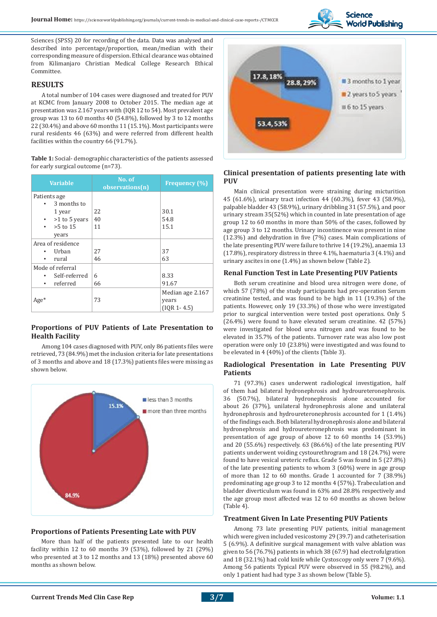

Sciences (SPSS) 20 for recording of the data. Data was analysed and described into percentage/proportion, mean/median with their corresponding measure of dispersion. Ethical clearance was obtained from Kilimanjaro Christian Medical College Research Ethical Committee.

## **RESULTS**

A total number of 104 cases were diagnosed and treated for PUV at KCMC from January 2008 to October 2015. The median age at presentation was 2.167 years with (IQR 12 to 54). Most prevalent age group was 13 to 60 months 40 (54.8%), followed by 3 to 12 months 22 (30.4%) and above 60 months 11 (15.1%). Most participants were rural residents 46 (63%) and were referred from different health facilities within the country 66 (91.7%).

**Table 1:** Social- demographic characteristics of the patients assessed for early surgical outcome (n=73).

| <b>Variable</b>         | No. of<br>observations(n) | <b>Frequency</b> (%) |
|-------------------------|---------------------------|----------------------|
| Patients age            |                           |                      |
| 3 months to             |                           |                      |
| 1 year                  | 22                        | 30.1                 |
| >1 to 5 years           | 40                        | 54.8                 |
| $>5$ to 15<br>$\bullet$ | 11                        | 15.1                 |
| years                   |                           |                      |
| Area of residence       |                           |                      |
| Urban                   | 27                        | 37                   |
| rural                   | 46                        | 63                   |
| Mode of referral        |                           |                      |
| Self-referred           | 6                         | 8.33                 |
| referred                | 66                        | 91.67                |
|                         |                           | Median age 2.167     |
| $Age*$                  | 73                        | years                |
|                         |                           | $(10R1 - 4.5)$       |

## **Proportions of PUV Patients of Late Presentation to Health Facility**

Among 104 cases diagnosed with PUV, only 86 patients files were retrieved, 73 (84.9%) met the inclusion criteria for late presentations of 3 months and above and 18 (17.3%) patients files were missing as shown below.



## **Proportions of Patients Presenting Late with PUV**

More than half of the patients presented late to our health facility within 12 to 60 months 39 (53%), followed by 21 (29%) who presented at 3 to 12 months and 13 (18%) presented above 60 months as shown below.



## **Clinical presentation of patients presenting late with PUV**

Main clinical presentation were straining during micturition 45 (61.6%), urinary tract infection 44 (60.3%), fever 43 (58.9%), palpable bladder 43 (58.9%), urinary dribbling 31 (57.5%), and poor urinary stream 35(52%) which in counted in late presentation of age group 12 to 60 months in more than 50% of the cases, followed by age group 3 to 12 months. Urinary incontinence was present in nine (12.3%) and dehydration in five (7%) cases. Main complications of the late presenting PUV were failure to thrive 14 (19.2%), anaemia 13 (17.8%), respiratory distress in three 4.1%, haematuria 3 (4.1%) and urinary ascites in one (1.4%) as shown below (Table 2).

#### **Renal Function Test in Late Presenting PUV Patients**

Both serum creatinine and blood urea nitrogen were done, of which 57 (78%) of the study participants had pre-operation Serum creatinine tested, and was found to be high in 11 (19.3%) of the patients. However, only 19 (33.3%) of those who were investigated prior to surgical intervention were tested post operations. Only 5 (26.4%) were found to have elevated serum creatinine. 42 (57%) were investigated for blood urea nitrogen and was found to be elevated in 35.7% of the patients. Turnover rate was also low post operation were only 10 (23.8%) were investigated and was found to be elevated in 4 (40%) of the clients (Table 3).

## **Radiological Presentation in Late Presenting PUV Patients**

71 (97.3%) cases underwent radiological investigation, half of them had bilateral hydronephrosis and hydroureteronephrosis. 36 (50.7%), bilateral hydronephrosis alone accounted for about 26 (37%), unilateral hydronephrosis alone and unilateral hydronephrosis and hydroureteronephrosis accounted for 1 (1.4%) of the findings each. Both bilateral hydronephrosis alone and bilateral hydronephrosis and hydroureteronephrosis was predominant in presentation of age group of above 12 to 60 months 14 (53.9%) and 20 (55.6%) respectively. 63 (86.6%) of the late presenting PUV patients underwent voiding cystourethrogram and 18 (24.7%) were found to have vesical ureteric reflux. Grade 5 was found in 5 (27.8%) of the late presenting patients to whom 3 (60%) were in age group of more than 12 to 60 months. Grade 1 accounted for 7 (38.9%) predominating age group 3 to 12 months 4 (57%). Trabeculation and bladder diverticulum was found in 63% and 28.8% respectively and the age group most affected was 12 to 60 months as shown below (Table 4).

## **Treatment Given In Late Presenting PUV Patients**

Among 73 late presenting PUV patients, initial management which were given included vesicostomy 29 (39.7) and catheterisation 5 (6.9%). A definitive surgical management with valve ablation was given to 56 (76.7%) patients in which 38 (67.9) had electrofulgration and 18 (32.1%) had cold knife while Cystoscopy only were 7 (9.6%). Among 56 patients Typical PUV were observed in 55 (98.2%), and only 1 patient had had type 3 as shown below (Table 5).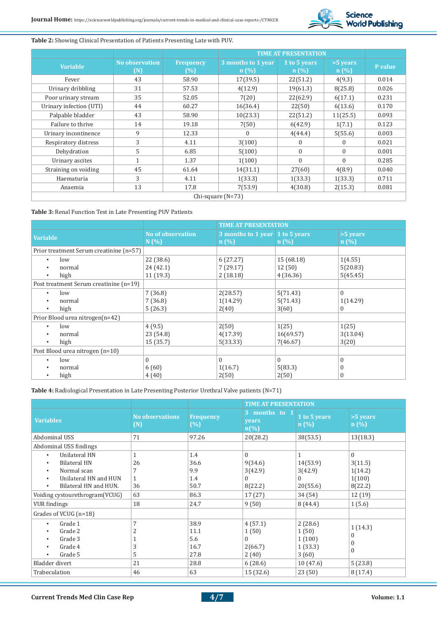

## **Table 2:** Showing Clinical Presentation of Patients Presenting Late with PUV.

|                         |                              |                         | <b>TIME AT PRESENTATION</b> |                      |                  |         |
|-------------------------|------------------------------|-------------------------|-----------------------------|----------------------|------------------|---------|
| <b>Variable</b>         | <b>No observation</b><br>(N) | <b>Frequency</b><br>(%) | 3 months to 1 year<br>n(%)  | 1 to 5 years<br>n(%) | >5 years<br>n(%) | P value |
| Fever                   | 43                           | 58.90                   | 17(39.5)                    | 22(51.2)             | 4(9.3)           | 0.014   |
| Urinary dribbling       | 31                           | 57.53                   | 4(12.9)                     | 19(61.3)             | 8(25.8)          | 0.026   |
| Poor urinary stream     | 35                           | 52.05                   | 7(20)                       | 22(62.9)             | 6(17.1)          | 0.231   |
| Urinary infection (UTI) | 44                           | 60.27                   | 16(36.4)                    | 22(50)               | 6(13.6)          | 0.170   |
| Palpable bladder        | 43                           | 58.90                   | 10(23.3)                    | 22(51.2)             | 11(25.5)         | 0.093   |
| Failure to thrive       | 14                           | 19.18                   | 7(50)                       | 6(42.9)              | 1(7.1)           | 0.123   |
| Urinary incontinence    | 9                            | 12.33                   | 0                           | 4(44.4)              | 5(55.6)          | 0.003   |
| Respiratory distress    | 3                            | 4.11                    | 3(100)                      | $\theta$             | $\Omega$         | 0.021   |
| Dehydration             | 5                            | 6.85                    | 5(100)                      | $\theta$             | $\Omega$         | 0.001   |
| Urinary ascites         | 1                            | 1.37                    | 1(100)                      | $\theta$             | $\Omega$         | 0.285   |
| Straining on voiding    | 45                           | 61.64                   | 14(31.1)                    | 27(60)               | 4(8.9)           | 0.040   |
| Haematuria              | 3                            | 4.11                    | 1(33.3)                     | 1(33.3)              | 1(33.3)          | 0.711   |
| Anaemia                 | 13                           | 17.8                    | 7(53.9)                     | 4(30.8)              | 2(15.3)          | 0.081   |
| Chi-square $(N=73)$     |                              |                         |                             |                      |                  |         |

## **Table 3:** Renal Function Test in Late Presenting PUV Patients

|                                         |                                  | <b>TIME AT PRESENTATION</b>             |            |                    |
|-----------------------------------------|----------------------------------|-----------------------------------------|------------|--------------------|
| <b>Variable</b>                         | <b>No of observation</b><br>N(%) | 3 months to 1 year 1 to 5 years<br>n(%) | n(%)       | $>5$ years<br>n(%) |
| Prior treatment Serum creatinine (n=57) |                                  |                                         |            |                    |
| low<br>$\bullet$                        | 22 (38.6)                        | 6(27.27)                                | 15 (68.18) | 1(4.55)            |
| normal<br>$\bullet$                     | 24 (42.1)                        | 7(29.17)                                | 12(50)     | 5(20.83)           |
| high<br>$\bullet$                       | 11(19.3)                         | 2(18.18)                                | 4(36.36)   | 5(45.45)           |
| Post treatment Serum creatinine (n=19)  |                                  |                                         |            |                    |
| low<br>$\bullet$                        | 7(36.8)                          | 2(28.57)                                | 5(71.43)   | $\Omega$           |
| normal<br>$\bullet$                     | 7(36.8)                          | 1(14.29)                                | 5(71.43)   | 1(14.29)           |
| high<br>$\bullet$                       | 5(26.3)                          | 2(40)                                   | 3(60)      | $\overline{0}$     |
| Prior Blood urea nitrogen(n=42)         |                                  |                                         |            |                    |
| low<br>$\bullet$                        | 4(9.5)                           | 2(50)                                   | 1(25)      | 1(25)              |
| normal<br>$\bullet$                     | 23 (54.8)                        | 4(17.39)                                | 16(69.57)  | 3(13.04)           |
| high<br>$\bullet$                       | 15(35.7)                         | 5(33.33)                                | 7(46.67)   | 3(20)              |
| Post Blood urea nitrogen (n=10)         |                                  |                                         |            |                    |
| low<br>$\bullet$                        | $\mathbf{0}$                     | $\Omega$                                | $\theta$   | $\Omega$           |
| normal<br>$\bullet$                     | 6(60)                            | 1(16.7)                                 | 5(83.3)    | 0                  |
| high<br>٠                               | 4(40)                            | 2(50)                                   | 2(50)      | $\mathbf{0}$       |

**Table 4:** Radiological Presentation in Late Presenting Posterior Urethral Valve patients (N=71)

|                                                                                                                                                                                                                                                          |                                |                                                   | <b>TIME AT PRESENTATION</b>                                       |                                                                   |                                                                          |
|----------------------------------------------------------------------------------------------------------------------------------------------------------------------------------------------------------------------------------------------------------|--------------------------------|---------------------------------------------------|-------------------------------------------------------------------|-------------------------------------------------------------------|--------------------------------------------------------------------------|
| <b>Variables</b>                                                                                                                                                                                                                                         | <b>No observations</b><br>(N)  | <b>Frequency</b><br>(%)                           | 3 months to 1<br>years<br>$n\left(\frac{0}{0}\right)$             | 1 to 5 years<br>n(%)                                              | >5 years<br>n(%)                                                         |
| Abdominal USS                                                                                                                                                                                                                                            | 71                             | 97.26                                             | 20(28.2)                                                          | 38(53.5)                                                          | 13(18.3)                                                                 |
| Abdominal USS findings                                                                                                                                                                                                                                   |                                |                                                   |                                                                   |                                                                   |                                                                          |
| Unilateral HN<br>$\bullet$<br><b>Bilateral HN</b><br>$\bullet$<br>Normal scan<br>$\bullet$<br>Unilateral HN and HUN<br>$\bullet$<br>Bilateral HN and HUN.<br>$\bullet$<br>Voiding cystourethrogram(VCUG)<br><b>VUR</b> findings<br>Grades of VCUG (n=18) | 26<br>7<br>1<br>36<br>63<br>18 | 1.4<br>36.6<br>9.9<br>1.4<br>50.7<br>86.3<br>24.7 | $\Omega$<br>9(34.6)<br>3(42.9)<br>0<br>8(22.2)<br>17(27)<br>9(50) | 14(53.9)<br>3(42.9)<br>$\Omega$<br>20(55.6)<br>34 (54)<br>8(44.4) | $\theta$<br>3(11.5)<br>1(14.2)<br>1(100)<br>8(22.2)<br>12 (19)<br>1(5.6) |
| Grade 1<br>$\bullet$<br>Grade 2<br>$\bullet$<br>Grade 3<br>$\bullet$<br>Grade 4<br>$\bullet$<br>Grade 5<br>Bladder divert                                                                                                                                | 7<br>2<br>3<br>5<br>21         | 38.9<br>11.1<br>5.6<br>16.7<br>27.8<br>28.8       | 4(57.1)<br>1(50)<br>$\Omega$<br>2(66.7)<br>2(40)<br>6(28.6)       | 2(28.6)<br>1(50)<br>1(100)<br>1(33.3)<br>3(60)<br>10(47.6)        | 1(14.3)<br>$\bf{0}$<br>$\bf{0}$<br>0<br>5(23.8)                          |
| Trabeculation                                                                                                                                                                                                                                            | 46                             | 63                                                | 15(32.6)                                                          | 23(50)                                                            | 8(17.4)                                                                  |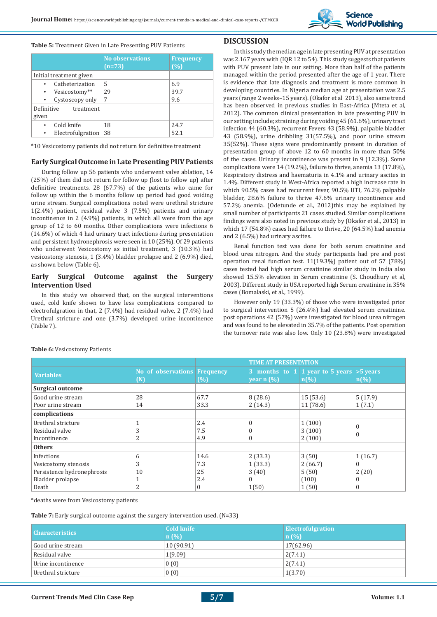

#### **Table 5:** Treatment Given in Late Presenting PUV Patients

|                                                                               | <b>No observations</b><br>$(n=73)$ | <b>Frequency</b><br>(%) |
|-------------------------------------------------------------------------------|------------------------------------|-------------------------|
| Initial treatment given                                                       |                                    |                         |
| Catheterization<br>Vesicostomy**<br>$\bullet$<br>Cystoscopy only<br>$\bullet$ | 5<br>29<br>7                       | 6.9<br>39.7<br>9.6      |
| Definitive<br>treatment<br>given                                              |                                    |                         |
| Cold knife<br>Electrofulgration                                               | 18<br>38                           | 24.7<br>52.1            |

\*10 Vesicostomy patients did not return for definitive treatment

#### **Early Surgical Outcome in Late Presenting PUV Patients**

During follow up 56 patients who underwent valve ablation, 14 (25%) of them did not return for follow up (lost to follow up) after definitive treatments. 28 (67.7%) of the patients who came for follow up within the 6 months follow up period had good voiding urine stream. Surgical complications noted were urethral stricture 1(2.4%) patient, residual valve 3 (7.5%) patients and urinary incontinence in 2 (4.9%) patients, in which all were from the age group of 12 to 60 months. Other complications were infections 6 (14.6%) of which 4 had urinary tract infections during presentation and persistent hydronephrosis were seen in 10 (25%). Of 29 patients who underwent Vesicostomy as initial treatment, 3 (10.3%) had vesicostomy stenosis, 1 (3.4%) bladder prolapse and 2 (6.9%) died, as shown below (Table 6).

## **Early Surgical Outcome against the Surgery Intervention Used**

In this study we observed that, on the surgical interventions used, cold knife shown to have less complications compared to electrofulgration in that, 2 (7.4%) had residual valve, 2 (7.4%) had Urethral stricture and one (3.7%) developed urine incontinence (Table 7).

## **DISCUSSION**

In this study the median age in late presenting PUV at presentation was 2.167 years with (IQR 12 to 54). This study suggests that patients with PUV present late in our setting. More than half of the patients managed within the period presented after the age of 1 year. There is evidence that late diagnosis and treatment is more common in developing countries. In Nigeria median age at presentation was 2.5 years (range 2 weeks–15 years). (Okafor et al 2013), also same trend has been observed in previous studies in East-Africa (Mteta et al, 2012). The common clinical presentation in late presenting PUV in our setting include; straining during voiding 45 (61.6%), urinary tract infection 44 (60.3%), recurrent Fevers 43 (58.9%), palpable bladder 43 (58.9%), urine dribbling 31(57.5%), and poor urine stream 35(52%). These signs were predominantly present in duration of presentation group of above 12 to 60 months in more than 50% of the cases. Urinary incontinence was present in 9 (12.3%). Some complications were 14 (19.2%), failure to thrive, anemia 13 (17.8%), Respiratory distress and haematuria in 4.1% and urinary ascites in 1.4%. Different study in West-Africa reported a high increase rate in which 90.5% cases had recurrent fever, 90.5% UTI, 76.2% palpable bladder, 28.6% failure to thrive 47.6% urinary incontinence and 57.2% anemia. (Odetunde et al., 2012)this may be explained by small number of participants 21 cases studied. Similar complications findings were also noted in previous study by (Okafor et al., 2013) in which 17 (54.8%) cases had failure to thrive, 20 (64.5%) had anemia and 2 (6.5%) had urinary ascites.

Renal function test was done for both serum creatinine and blood urea nitrogen. And the study participants had pre and post operation renal function test. 11(19.3%) patient out of 57 (78%) cases tested had high serum creatinine similar study in India also showed 15.5% elevation in Serum creatinine (S. Choudhury et al, 2003). Different study in USA reported high Serum creatinine in 35% cases (Bomalaski, et al., 1999).

However only 19 (33.3%) of those who were investigated prior to surgical intervention 5 (26.4%) had elevated serum creatinine. post operations 42 (57%) were investigated for blood urea nitrogen and was found to be elevated in 35.7% of the patients. Post operation the turnover rate was also low. Only 10 (23.8%) were investigated

|                            |                                     |          | <b>TIME AT PRESENTATION</b>         |                                                                                  |                             |
|----------------------------|-------------------------------------|----------|-------------------------------------|----------------------------------------------------------------------------------|-----------------------------|
| <b>Variables</b>           | No of observations Frequency<br>(N) | (%)      | year $n$ $\left(\frac{9}{6}\right)$ | 3 months to $1 \mid 1$ year to 5 years $>5$ years<br>$n\left(\frac{9}{6}\right)$ | $n\left(\frac{9}{6}\right)$ |
| <b>Surgical outcome</b>    |                                     |          |                                     |                                                                                  |                             |
| Good urine stream          | 28                                  | 67.7     | 8(28.6)                             | 15(53.6)                                                                         | 5(17.9)                     |
| Poor urine stream          | 14                                  | 33.3     | 2(14.3)                             | 11 (78.6)                                                                        | 1(7.1)                      |
| complications              |                                     |          |                                     |                                                                                  |                             |
| Urethral stricture         |                                     | 2.4      |                                     | 1(100)                                                                           | $\Omega$                    |
| Residual valve             | 3                                   | 7.5      |                                     | 3(100)                                                                           | $\theta$                    |
| Incontinence               | 2                                   | 4.9      | U                                   | 2(100)                                                                           |                             |
| <b>Others</b>              |                                     |          |                                     |                                                                                  |                             |
| Infections                 | 6                                   | 14.6     | 2(33.3)                             | 3(50)                                                                            | 1(16.7)                     |
| Vesicostomy stenosis       | 3                                   | 7.3      | 1(33.3)                             | 2(66.7)                                                                          | $\Omega$                    |
| Persistence hydronephrosis | 10                                  | 25       | 3(40)                               | 5(50)                                                                            | 2(20)                       |
| Bladder prolapse           |                                     | 2.4      | $\Omega$                            | (100)                                                                            | $\theta$                    |
| Death                      | っ                                   | $\Omega$ | 1(50)                               | 1(50)                                                                            | $\theta$                    |

## **Table 6:** Vesicostomy Patients

\*deaths were from Vesicostomy patients

**Table 7:** Early surgical outcome against the surgery intervention used. (N=33)

| <b>Characteristics</b> | <b>Cold knife</b><br>n(%) | <b>Electrofulgration</b><br>n(%) |
|------------------------|---------------------------|----------------------------------|
| Good urine stream      | 10 (90.91)                | 17(62.96)                        |
| Residual valve         | 1(9.09)                   | 2(7.41)                          |
| Urine incontinence     | 0(0)                      | 2(7.41)                          |
| Urethral stricture     | 0(0)                      | 1(3.70)                          |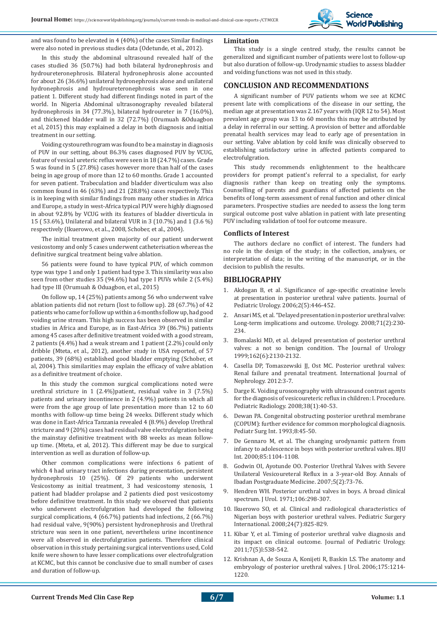

and was found to be elevated in 4 (40%) of the cases Similar findings were also noted in previous studies data (Odetunde, et al., 2012).

#### In this study the abdominal ultrasound revealed half of the cases studied 36 (50.7%) had both bilateral hydronephrosis and hydroureteronephrosis. Bilateral hydronephrosis alone accounted for about 26 (36.6%) unilateral hydronephrosis alone and unilateral hydronephrosis and hydroureteronephrosis was seen in one patient 1. Different study had different findings noted in part of the world. In Nigeria Abdominal ultrasonography revealed bilateral hydronephrosis in 34 (77.3%), bilateral hydroureter in 7 (16.0%), and thickened bladder wall in 32 (72.7%) (Orumuah &Oduagbon et al, 2015) this may explained a delay in both diagnosis and initial treatment in our setting.

Voiding cystourethrogram was found to be a mainstay in diagnosis of PUV in our setting, about 86.3% cases diagnosed PUV by VCUG, feature of vesical ureteric reflux were seen in 18 (24.7%) cases. Grade 5 was found in 5 (27.8%) cases however more than half of the cases being in age group of more than 12 to 60 months. Grade 1 accounted for seven patient. Trabeculation and bladder diverticulum was also common found in 46 (63%) and 21 (28.8%) cases respectively. This is in keeping with similar findings from many other studies in Africa and Europe, a study in west-Africa typical PUV were highly diagnosed in about 92.8% by VCUG with its features of bladder diverticula in 15 ( 53.6%), Unilateral and bilateral VUR in 3 (10.7%) and 1 (3.6 %) respectively (Ikuerowo, et al.., 2008, Schober, et al., 2004).

The initial treatment given majority of our patient underwent vesicostomy and only 5 cases underwent catheterisation whereas the definitive surgical treatment being valve ablation.

56 patients were found to have typical PUV, of which common type was type 1 and only 1 patient had type 3. This similarity was also seen from other studies 35 (94.6%) had type I PUVs while 2 (5.4%) had type III (Orumuah & Oduagbon, et al., 2015)

On follow up, 14 (25%) patients among 56 who underwent valve ablation patients did not return (lost to follow up). 28 (67.7%) of 42 patients who came for follow up within a 6 months follow up, had good voiding urine stream. This high success has been observed in similar studies in Africa and Europe, as in East-Africa 39 (86.7%) patients among 45 cases after definitive treatment voided with a good stream, 2 patients (4.4%) had a weak stream and 1 patient (2.2%) could only dribble (Mteta, et al., 2012), another study in USA reported, of 57 patients, 39 (68%) established good bladder emptying (Schober, et al, 2004). This similarities may explain the efficacy of valve ablation as a definitive treatment of choice.

In this study the common surgical complications noted were urethral stricture in 1 (2.4%)patient, residual valve in 3 (7.5%) patients and urinary incontinence in 2 (4.9%) patients in which all were from the age group of late presentation more than 12 to 60 months with follow-up time being 24 weeks. Different study which was done in East-Africa Tanzania revealed 4 (8.9%) develop Urethral stricture and 9 (20%) cases had residual valve electrofulgration being the mainstay definitive treatment with 88 weeks as mean followup time. (Mteta, et al, 2012). This different may be due to surgical intervention as well as duration of follow-up.

Other common complications were infections 6 patient of which 4 had urinary tract infections during presentation, persistent hydronephrosis 10 (25%). Of 29 patients who underwent Vesicostomy as initial treatment, 3 had vesicostomy stenosis, 1 patient had bladder prolapse and 2 patients died post vesicostomy before definitive treatment. In this study we observed that patients who underwent electrofulgration had developed the following surgical complications, 4 (66.7%) patients had infections, 2 (66.7%) had residual valve, 9(90%) persistent hydronephrosis and Urethral stricture was seen in one patient, nevertheless urine incontinence were all observed in electrofulgration patients. Therefore clinical observation in this study pertaining surgical interventions used, Cold knife were shown to have lesser complications over electrofulgration at KCMC, but this cannot be conclusive due to small number of cases and duration of follow-up.

## **Limitation**

This study is a single centred study, the results cannot be generalized and significant number of patients were lost to follow-up but also duration of follow-up. Urodynamic studies to assess bladder and voiding functions was not used in this study.

## **CONCLUSION AND RECOMMENDATIONS**

A significant number of PUV patients whom we see at KCMC present late with complications of the disease in our setting, the median age at presentation was 2.167 years with (IQR 12 to 54). Most prevalent age group was 13 to 60 months this may be attributed by a delay in referral in our setting. A provision of better and affordable prenatal health services may lead to early age of presentation in our setting. Valve ablation by cold knife was clinically observed to establishing satisfactory urine in affected patients compared to electrofulgration.

This study recommends enlightenment to the healthcare providers for prompt patient's referral to a specialist, for early diagnosis rather than keep on treating only the symptoms. Counselling of parents and guardians of affected patients on the benefits of long-term assessment of renal function and other clinical parameters. Prospective studies are needed to assess the long term surgical outcome post valve ablation in patient with late presenting PUV including validation of tool for outcome measure.

#### **Conflicts of Interest**

The authors declare no conflict of interest. The funders had no role in the design of the study; in the collection, analyses, or interpretation of data; in the writing of the manuscript, or in the decision to publish the results.

#### **BIBLIOGRAPHY**

- 1. Akdogan B, et al. Significance of age-specific creatinine levels at presentation in posterior urethral valve patients. Journal of Pediatric Urology. 2006;2(5):446-452.
- 2. Ansari MS, et al. "Delayed presentation in posterior urethral valve: Long-term implications and outcome. Urology. 2008;71(2):230- 234.
- 3. Bomalaski MD, et al. delayed presentation of posterior urethral valves: a not so benign condition. The Journal of Urology 1999;162(6):2130-2132.
- 4. Casella DP, Tomaszewski JJ, Ost MC. Posterior urethral valves: Renal failure and prenatal treatment. International Journal of Nephrology. 2012:3-7.
- 5. Darge K. Voiding urosonography with ultrasound contrast agents for the diagnosis of vesicoureteric reflux in children: I. Procedure. Pediatric Radiology. 2008;38(1):40-53.
- 6. Dewan PA. Congenital obstructing posterior urethral membrane (COPUM): further evidence for common morphological diagnosis. Pediatr Surg Int. 1993;8:45-50.
- 7. De Gennaro M, et al. The changing urodynamic pattern from infancy to adolescence in boys with posterior urethral valves. BJU Int. 2000;85:1104-1108.
- 8. Godwin OI, Ayotunde OO. Posterior Urethral Valves with Severe Unilateral Vesicoureteral Reflux in a 3-year-old Boy. Annals of Ibadan Postgraduate Medicine. 2007;5(2):73-76.
- 9. Hendren WH. Posterior urethral valves in boys. A broad clinical spectrum. J Urol. 1971;106:298-307.
- 10. Ikuerowo SO, et al. Clinical and radiological characteristics of Nigerian boys with posterior urethral valves. Pediatric Surgery International. 2008;24(7):825-829.
- 11. Kibar Y, et al. Timing of posterior urethral valve diagnosis and its impact on clinical outcome. Journal of Pediatric Urology. 2011;7(5)l:538-542.
- 12. Krishnan A, de Souza A, Konijeti R, Baskin LS. The anatomy and embryology of posterior urethral valves. J Urol. 2006;175:1214- 1220.